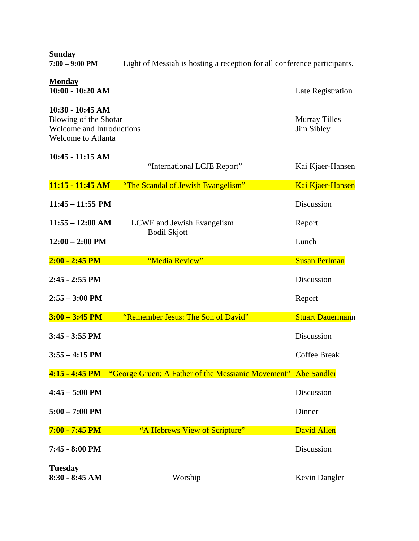| <b>Sunday</b><br>$7:00 - 9:00$ PM                                                                            | Light of Messiah is hosting a reception for all conference participants. |                                    |  |
|--------------------------------------------------------------------------------------------------------------|--------------------------------------------------------------------------|------------------------------------|--|
| <b>Monday</b><br>$10:00 - 10:20$ AM                                                                          |                                                                          | Late Registration                  |  |
| $10:30 - 10:45$ AM<br>Blowing of the Shofar<br><b>Welcome and Introductions</b><br><b>Welcome to Atlanta</b> |                                                                          | <b>Murray Tilles</b><br>Jim Sibley |  |
| 10:45 - 11:15 AM                                                                                             | "International LCJE Report"                                              | Kai Kjaer-Hansen                   |  |
| 11:15 - 11:45 AM                                                                                             | "The Scandal of Jewish Evangelism"                                       | Kai Kjaer-Hansen                   |  |
| $11:45 - 11:55$ PM                                                                                           |                                                                          | Discussion                         |  |
| $11:55 - 12:00$ AM                                                                                           | LCWE and Jewish Evangelism                                               | Report                             |  |
| $12:00 - 2:00$ PM                                                                                            | <b>Bodil Skjott</b>                                                      | Lunch                              |  |
| $2:00 - 2:45$ PM                                                                                             | "Media Review"                                                           | <b>Susan Perlman</b>               |  |
| $2:45 - 2:55$ PM                                                                                             |                                                                          | Discussion                         |  |
| $2:55 - 3:00$ PM                                                                                             |                                                                          | Report                             |  |
| $3:00 - 3:45 \text{ PM}$                                                                                     | "Remember Jesus: The Son of David"                                       | <b>Stuart Dauermann</b>            |  |
| $3:45 - 3:55 \text{ PM}$                                                                                     |                                                                          | Discussion                         |  |
| $3:55 - 4:15$ PM                                                                                             |                                                                          | <b>Coffee Break</b>                |  |
| 4:15 - 4:45 PM                                                                                               | "George Gruen: A Father of the Messianic Movement"                       | <b>Abe Sandler</b>                 |  |
| $4:45 - 5:00$ PM                                                                                             |                                                                          | Discussion                         |  |
| $5:00 - 7:00$ PM                                                                                             |                                                                          | Dinner                             |  |
| 7:00 - 7:45 PM                                                                                               | "A Hebrews View of Scripture"                                            | <b>David Allen</b>                 |  |
| 7:45 - 8:00 PM                                                                                               |                                                                          | Discussion                         |  |
| <b>Tuesday</b><br>$8:30 - 8:45$ AM                                                                           | Worship                                                                  | Kevin Dangler                      |  |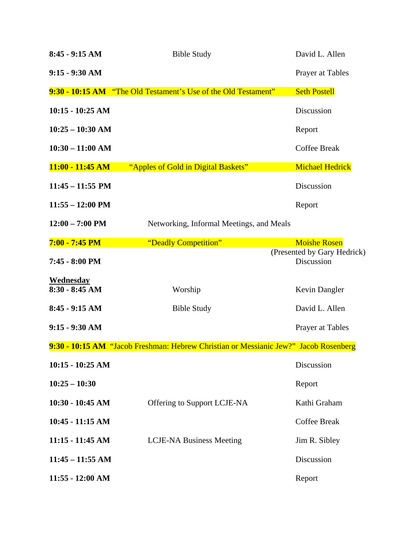| $8:45 - 9:15 AM$                     | <b>Bible Study</b>                                                                   | David L. Allen                                                   |
|--------------------------------------|--------------------------------------------------------------------------------------|------------------------------------------------------------------|
| $9:15 - 9:30$ AM                     |                                                                                      | Prayer at Tables                                                 |
|                                      | 9:30 - 10:15 AM "The Old Testament's Use of the Old Testament"                       | <b>Seth Postell</b>                                              |
| $10:15 - 10:25$ AM                   |                                                                                      | Discussion                                                       |
| $10:25 - 10:30$ AM                   |                                                                                      | Report                                                           |
| $10:30 - 11:00$ AM                   |                                                                                      | <b>Coffee Break</b>                                              |
| 11:00 - 11:45 AM                     | "Apples of Gold in Digital Baskets"                                                  | <b>Michael Hedrick</b>                                           |
| $11:45 - 11:55$ PM                   |                                                                                      | Discussion                                                       |
| $11:55 - 12:00 \text{ PM}$           |                                                                                      | Report                                                           |
| $12:00 - 7:00$ PM                    | Networking, Informal Meetings, and Meals                                             |                                                                  |
| $7:00 - 7:45$ PM<br>7:45 - 8:00 PM   | "Deadly Competition"                                                                 | <b>Moishe Rosen</b><br>(Presented by Gary Hedrick)<br>Discussion |
| <b>Wednesday</b><br>$8:30 - 8:45$ AM | Worship                                                                              | Kevin Dangler                                                    |
| $8:45 - 9:15 AM$                     | <b>Bible Study</b>                                                                   | David L. Allen                                                   |
| $9:15 - 9:30$ AM                     |                                                                                      | Prayer at Tables                                                 |
|                                      | 9:30 - 10:15 AM "Jacob Freshman: Hebrew Christian or Messianic Jew?" Jacob Rosenberg |                                                                  |
| 10:15 - 10:25 AM                     |                                                                                      | Discussion                                                       |
| $10:25 - 10:30$                      |                                                                                      | Report                                                           |
| $10:30 - 10:45$ AM                   | Offering to Support LCJE-NA                                                          | Kathi Graham                                                     |
| $10:45 - 11:15$ AM                   |                                                                                      | <b>Coffee Break</b>                                              |
| $11:15 - 11:45$ AM                   | <b>LCJE-NA Business Meeting</b>                                                      | Jim R. Sibley                                                    |
| $11:45 - 11:55$ AM                   |                                                                                      | Discussion                                                       |
| $11:55 - 12:00$ AM                   |                                                                                      | Report                                                           |